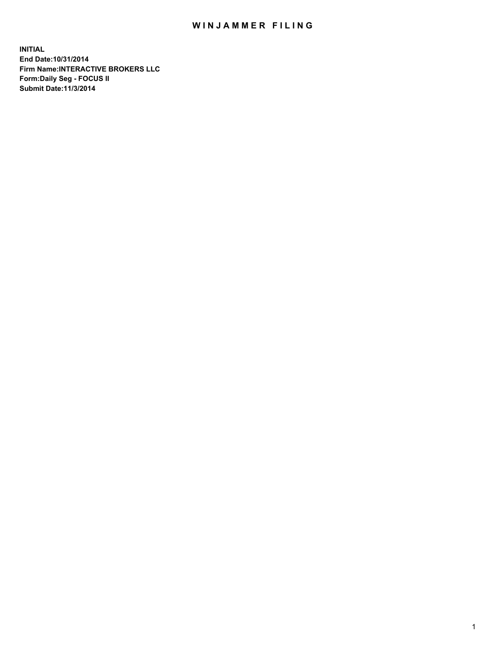## WIN JAMMER FILING

**INITIAL End Date:10/31/2014 Firm Name:INTERACTIVE BROKERS LLC Form:Daily Seg - FOCUS II Submit Date:11/3/2014**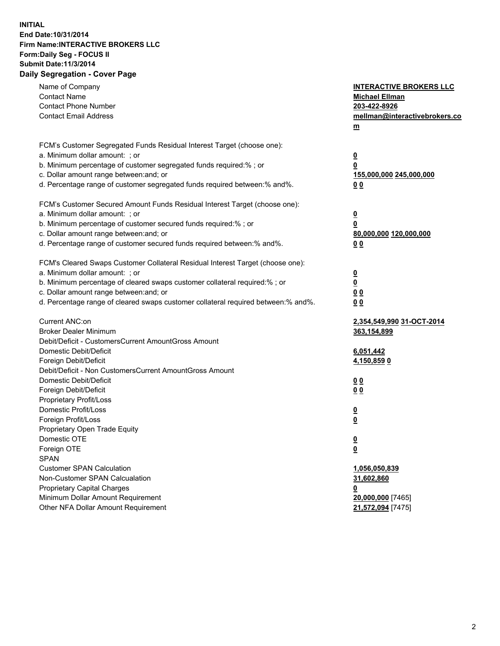## **INITIAL End Date:10/31/2014 Firm Name:INTERACTIVE BROKERS LLC Form:Daily Seg - FOCUS II Submit Date:11/3/2014 Daily Segregation - Cover Page**

| Name of Company<br><b>Contact Name</b><br><b>Contact Phone Number</b><br><b>Contact Email Address</b>                                                                                                                                                                                                                          | <b>INTERACTIVE BROKERS LLC</b><br><b>Michael Ellman</b><br>203-422-8926<br>mellman@interactivebrokers.co<br>$m$ |
|--------------------------------------------------------------------------------------------------------------------------------------------------------------------------------------------------------------------------------------------------------------------------------------------------------------------------------|-----------------------------------------------------------------------------------------------------------------|
| FCM's Customer Segregated Funds Residual Interest Target (choose one):<br>a. Minimum dollar amount: ; or<br>b. Minimum percentage of customer segregated funds required:% ; or<br>c. Dollar amount range between: and; or<br>d. Percentage range of customer segregated funds required between:% and%.                         | <u>0</u><br><u>0</u><br>155,000,000 245,000,000<br>0 <sub>0</sub>                                               |
| FCM's Customer Secured Amount Funds Residual Interest Target (choose one):<br>a. Minimum dollar amount: ; or<br>b. Minimum percentage of customer secured funds required:% ; or<br>c. Dollar amount range between: and; or<br>d. Percentage range of customer secured funds required between:% and%.                           | <u>0</u><br>0<br>80,000,000 120,000,000<br>0 <sub>0</sub>                                                       |
| FCM's Cleared Swaps Customer Collateral Residual Interest Target (choose one):<br>a. Minimum dollar amount: ; or<br>b. Minimum percentage of cleared swaps customer collateral required:% ; or<br>c. Dollar amount range between: and; or<br>d. Percentage range of cleared swaps customer collateral required between:% and%. | $\overline{\mathbf{0}}$<br>$\underline{\mathbf{0}}$<br>0 <sub>0</sub><br>0 <sub>0</sub>                         |
| Current ANC:on<br><b>Broker Dealer Minimum</b><br>Debit/Deficit - CustomersCurrent AmountGross Amount<br>Domestic Debit/Deficit<br>Foreign Debit/Deficit                                                                                                                                                                       | 2,354,549,990 31-OCT-2014<br>363,154,899<br>6,051,442<br><u>4,150,8590</u>                                      |
| Debit/Deficit - Non CustomersCurrent AmountGross Amount<br>Domestic Debit/Deficit<br>Foreign Debit/Deficit<br>Proprietary Profit/Loss<br>Domestic Profit/Loss<br>Foreign Profit/Loss                                                                                                                                           | 0 <sub>0</sub><br>0 <sub>0</sub><br><u>0</u><br><u>0</u>                                                        |
| Proprietary Open Trade Equity<br>Domestic OTE<br>Foreign OTE<br><b>SPAN</b><br><b>Customer SPAN Calculation</b><br>Non-Customer SPAN Calcualation                                                                                                                                                                              | <u>0</u><br><u>0</u><br>1,056,050,839<br>31,602,860                                                             |
| <b>Proprietary Capital Charges</b><br>Minimum Dollar Amount Requirement<br>Other NFA Dollar Amount Requirement                                                                                                                                                                                                                 | <u>0</u><br>20,000,000 [7465]<br>21,572,094 [7475]                                                              |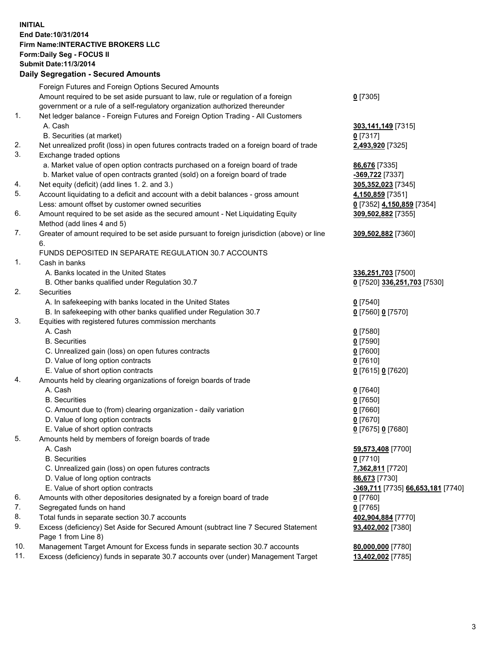## **INITIAL End Date:10/31/2014 Firm Name:INTERACTIVE BROKERS LLC Form:Daily Seg - FOCUS II Submit Date:11/3/2014 Daily Segregation - Secured Amounts**

|          | Foreign Futures and Foreign Options Secured Amounts                                         |                                   |
|----------|---------------------------------------------------------------------------------------------|-----------------------------------|
|          | Amount required to be set aside pursuant to law, rule or regulation of a foreign            | $0$ [7305]                        |
|          | government or a rule of a self-regulatory organization authorized thereunder                |                                   |
| 1.       | Net ledger balance - Foreign Futures and Foreign Option Trading - All Customers             |                                   |
|          | A. Cash                                                                                     | 303,141,149 [7315]                |
|          | B. Securities (at market)                                                                   | $0$ [7317]                        |
| 2.       | Net unrealized profit (loss) in open futures contracts traded on a foreign board of trade   | 2,493,920 [7325]                  |
| 3.       | Exchange traded options                                                                     |                                   |
|          | a. Market value of open option contracts purchased on a foreign board of trade              | 86,676 [7335]                     |
|          | b. Market value of open contracts granted (sold) on a foreign board of trade                | -369,722 [7337]                   |
| 4.       | Net equity (deficit) (add lines 1. 2. and 3.)                                               | 305,352,023 [7345]                |
| 5.       | Account liquidating to a deficit and account with a debit balances - gross amount           | 4,150,859 [7351]                  |
|          | Less: amount offset by customer owned securities                                            | 0 [7352] 4,150,859 [7354]         |
| 6.       | Amount required to be set aside as the secured amount - Net Liquidating Equity              | 309,502,882 [7355]                |
|          | Method (add lines 4 and 5)                                                                  |                                   |
| 7.       | Greater of amount required to be set aside pursuant to foreign jurisdiction (above) or line | 309,502,882 [7360]                |
|          | 6.                                                                                          |                                   |
|          | FUNDS DEPOSITED IN SEPARATE REGULATION 30.7 ACCOUNTS                                        |                                   |
| 1.       | Cash in banks                                                                               |                                   |
|          | A. Banks located in the United States                                                       | 336,251,703 [7500]                |
|          | B. Other banks qualified under Regulation 30.7                                              | 0 [7520] 336,251,703 [7530]       |
| 2.       | Securities                                                                                  |                                   |
|          | A. In safekeeping with banks located in the United States                                   | $0$ [7540]                        |
|          | B. In safekeeping with other banks qualified under Regulation 30.7                          | 0 [7560] 0 [7570]                 |
| 3.       | Equities with registered futures commission merchants                                       |                                   |
|          | A. Cash                                                                                     | $0$ [7580]                        |
|          | <b>B.</b> Securities                                                                        | $0$ [7590]                        |
|          | C. Unrealized gain (loss) on open futures contracts                                         | $0$ [7600]                        |
|          | D. Value of long option contracts                                                           | $0$ [7610]                        |
|          | E. Value of short option contracts                                                          | 0 [7615] 0 [7620]                 |
| 4.       | Amounts held by clearing organizations of foreign boards of trade                           |                                   |
|          | A. Cash                                                                                     | $0$ [7640]                        |
|          | <b>B.</b> Securities                                                                        | $0$ [7650]                        |
|          | C. Amount due to (from) clearing organization - daily variation                             | $0$ [7660]                        |
|          | D. Value of long option contracts                                                           | $0$ [7670]                        |
|          | E. Value of short option contracts                                                          | 0 [7675] 0 [7680]                 |
| 5.       | Amounts held by members of foreign boards of trade                                          |                                   |
|          | A. Cash                                                                                     | 59,573,408 [7700]                 |
|          | <b>B.</b> Securities                                                                        | $0$ [7710]                        |
|          | C. Unrealized gain (loss) on open futures contracts                                         | 7,362,811 [7720]                  |
|          | D. Value of long option contracts                                                           | 86,673 [7730]                     |
|          | E. Value of short option contracts                                                          |                                   |
|          |                                                                                             | -369,711 [7735] 66,653,181 [7740] |
| 6.<br>7. | Amounts with other depositories designated by a foreign board of trade                      | 0 [7760]                          |
|          | Segregated funds on hand                                                                    | $0$ [7765]                        |
| 8.       | Total funds in separate section 30.7 accounts                                               | 402,904,884 [7770]                |
| 9.       | Excess (deficiency) Set Aside for Secured Amount (subtract line 7 Secured Statement         | 93,402,002 [7380]                 |
|          | Page 1 from Line 8)                                                                         |                                   |
| 10.      | Management Target Amount for Excess funds in separate section 30.7 accounts                 | 80,000,000 [7780]                 |
| 11.      | Excess (deficiency) funds in separate 30.7 accounts over (under) Management Target          | 13,402,002 [7785]                 |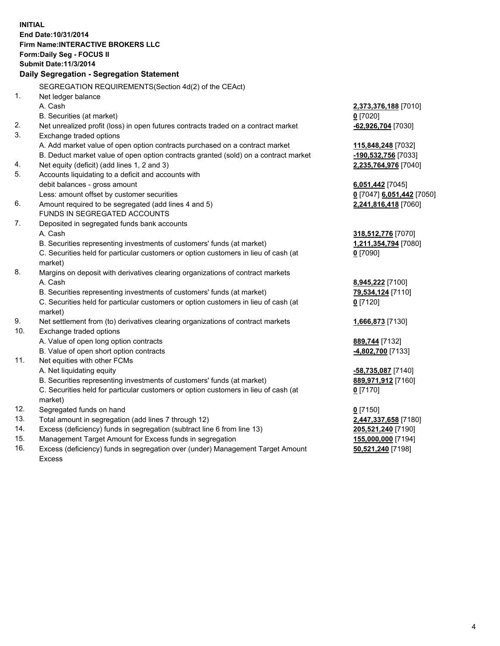**INITIAL End Date:10/31/2014 Firm Name:INTERACTIVE BROKERS LLC Form:Daily Seg - FOCUS II Submit Date:11/3/2014 Daily Segregation - Segregation Statement** SEGREGATION REQUIREMENTS(Section 4d(2) of the CEAct) 1. Net ledger balance A. Cash **2,373,376,188** [7010] B. Securities (at market) **0** [7020] 2. Net unrealized profit (loss) in open futures contracts traded on a contract market **-62,926,704** [7030] 3. Exchange traded options A. Add market value of open option contracts purchased on a contract market **115,848,248** [7032] B. Deduct market value of open option contracts granted (sold) on a contract market **-190,532,756** [7033] 4. Net equity (deficit) (add lines 1, 2 and 3) **2,235,764,976** [7040] 5. Accounts liquidating to a deficit and accounts with debit balances - gross amount **6,051,442** [7045] Less: amount offset by customer securities **0** [7047] **6,051,442** [7050] 6. Amount required to be segregated (add lines 4 and 5) **2,241,816,418** [7060] FUNDS IN SEGREGATED ACCOUNTS 7. Deposited in segregated funds bank accounts A. Cash **318,512,776** [7070] B. Securities representing investments of customers' funds (at market) **1,211,354,794** [7080] C. Securities held for particular customers or option customers in lieu of cash (at market) **0** [7090] 8. Margins on deposit with derivatives clearing organizations of contract markets A. Cash **8,945,222** [7100] B. Securities representing investments of customers' funds (at market) **79,534,124** [7110] C. Securities held for particular customers or option customers in lieu of cash (at market) **0** [7120] 9. Net settlement from (to) derivatives clearing organizations of contract markets **1,666,873** [7130] 10. Exchange traded options A. Value of open long option contracts **889,744** [7132] B. Value of open short option contracts **-4,802,700** [7133] 11. Net equities with other FCMs A. Net liquidating equity **-58,735,087** [7140] B. Securities representing investments of customers' funds (at market) **889,971,912** [7160] C. Securities held for particular customers or option customers in lieu of cash (at market) **0** [7170] 12. Segregated funds on hand **0** [7150] 13. Total amount in segregation (add lines 7 through 12) **2,447,337,658** [7180] 14. Excess (deficiency) funds in segregation (subtract line 6 from line 13) **205,521,240** [7190] 15. Management Target Amount for Excess funds in segregation **155,000,000** [7194]

16. Excess (deficiency) funds in segregation over (under) Management Target Amount Excess

**50,521,240** [7198]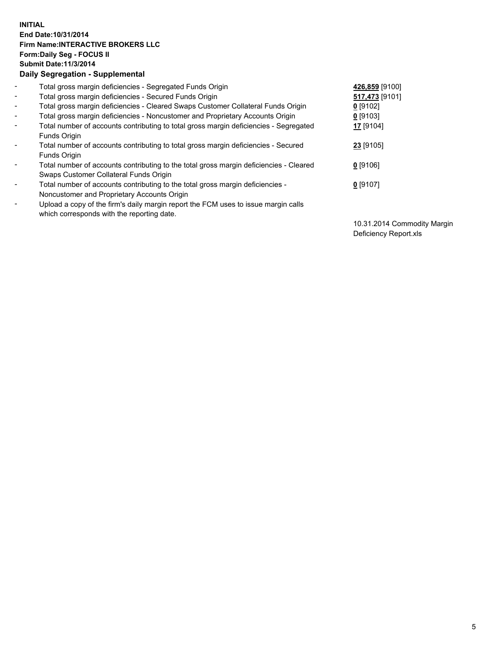## **INITIAL End Date:10/31/2014 Firm Name:INTERACTIVE BROKERS LLC Form:Daily Seg - FOCUS II Submit Date:11/3/2014 Daily Segregation - Supplemental**

| $\blacksquare$ | Total gross margin deficiencies - Segregated Funds Origin                              | 426,859 [9100] |
|----------------|----------------------------------------------------------------------------------------|----------------|
| $\blacksquare$ | Total gross margin deficiencies - Secured Funds Origin                                 | 517,473 [9101] |
| $\blacksquare$ | Total gross margin deficiencies - Cleared Swaps Customer Collateral Funds Origin       | $0$ [9102]     |
| $\blacksquare$ | Total gross margin deficiencies - Noncustomer and Proprietary Accounts Origin          | $0$ [9103]     |
| $\blacksquare$ | Total number of accounts contributing to total gross margin deficiencies - Segregated  | 17 [9104]      |
|                | <b>Funds Origin</b>                                                                    |                |
| $\blacksquare$ | Total number of accounts contributing to total gross margin deficiencies - Secured     | 23 [9105]      |
|                | <b>Funds Origin</b>                                                                    |                |
| $\blacksquare$ | Total number of accounts contributing to the total gross margin deficiencies - Cleared | $0$ [9106]     |
|                | Swaps Customer Collateral Funds Origin                                                 |                |
| $\blacksquare$ | Total number of accounts contributing to the total gross margin deficiencies -         | $0$ [9107]     |
|                | Noncustomer and Proprietary Accounts Origin                                            |                |
| $\blacksquare$ | Upload a copy of the firm's daily margin report the FCM uses to issue margin calls     |                |
|                | which corresponds with the reporting date.                                             |                |

10.31.2014 Commodity Margin Deficiency Report.xls